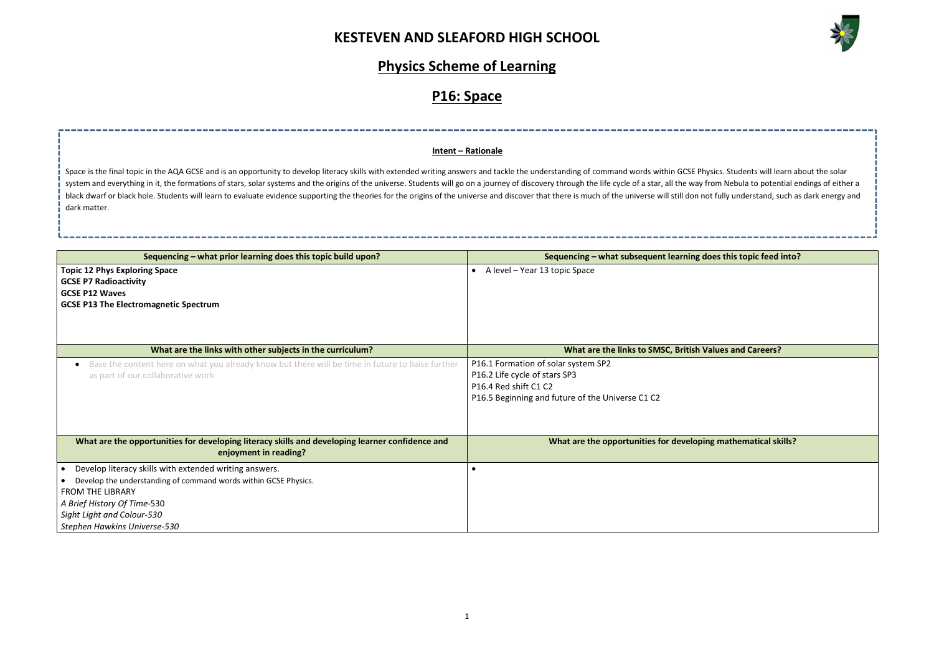

does this topic feed into? **Values and Careers?** ing mathematical skills?

## Physics Scheme of Learning

# P16: Space

| Sequencing – what prior learning does this topic build upon?                                                                                                                                                                                      | Sequencing - what subsequent learning of                                                                                                          |  |
|---------------------------------------------------------------------------------------------------------------------------------------------------------------------------------------------------------------------------------------------------|---------------------------------------------------------------------------------------------------------------------------------------------------|--|
| <b>Topic 12 Phys Exploring Space</b><br><b>GCSE P7 Radioactivity</b><br><b>GCSE P12 Waves</b><br><b>GCSE P13 The Electromagnetic Spectrum</b>                                                                                                     | A level - Year 13 topic Space<br>$\bullet$                                                                                                        |  |
| What are the links with other subjects in the curriculum?                                                                                                                                                                                         | What are the links to SMSC, British \                                                                                                             |  |
| Base the content here on what you already know but there will be time in future to liaise further<br>as part of our collaborative work                                                                                                            | P16.1 Formation of solar system SP2<br>P16.2 Life cycle of stars SP3<br>P16.4 Red shift C1 C2<br>P16.5 Beginning and future of the Universe C1 C2 |  |
| What are the opportunities for developing literacy skills and developing learner confidence and<br>enjoyment in reading?                                                                                                                          | What are the opportunities for developi                                                                                                           |  |
| Develop literacy skills with extended writing answers.<br>Develop the understanding of command words within GCSE Physics.<br><b>FROM THE LIBRARY</b><br>A Brief History Of Time-530<br>Sight Light and Colour-530<br>Stephen Hawkins Universe-530 |                                                                                                                                                   |  |

Space is the final topic in the AQA GCSE and is an opportunity to develop literacy skills with extended writing answers and tackle the understanding of command words within GCSE Physics. Students will learn about the solar system and everything in it, the formations of stars, solar systems and the origins of the universe. Students will go on a journey of discovery through the life cycle of a star, all the way from Nebula to potential endings black dwarf or black hole. Students will learn to evaluate evidence supporting the theories for the origins of the universe and discover that there is much of the universe will still don not fully understand, such as dark dark matter.

#### Intent – Rationale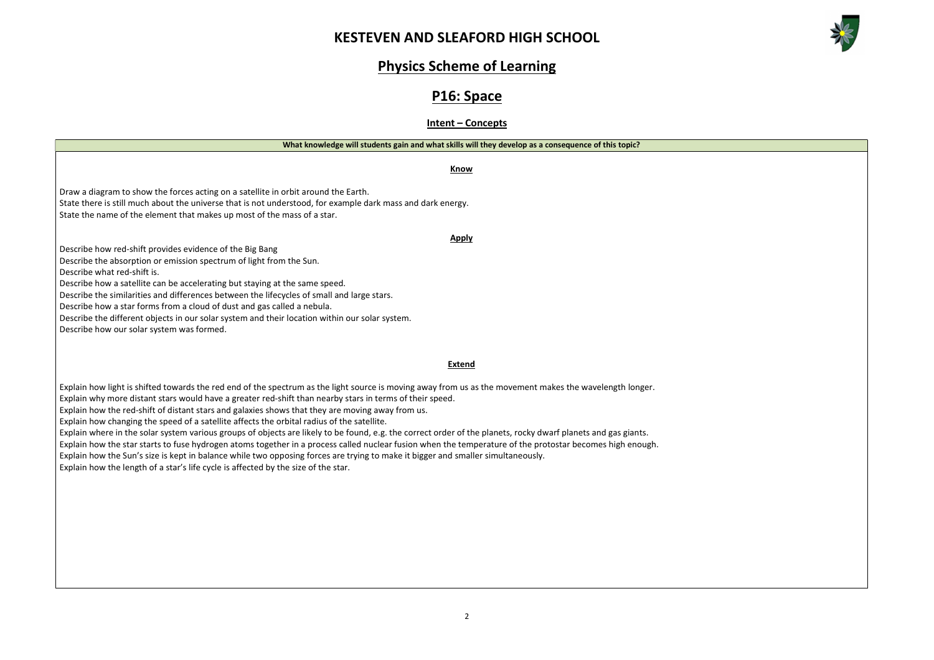



#### Physics Scheme of Learning

## P16: Space

Intent – Concepts

Know

Draw a diagram to show the forces acting on a satellite in orbit around the Earth. State there is still much about the universe that is not understood, for example dark mass and dark energy. State the name of the element that makes up most of the mass of a star.

Apply

Describe how red-shift provides evidence of the Big Bang

Describe the absorption or emission spectrum of light from the Sun.

Describe what red-shift is.

Describe how a satellite can be accelerating but staying at the same speed.

Describe the similarities and differences between the lifecycles of small and large stars.

Describe how a star forms from a cloud of dust and gas called a nebula.

Describe the different objects in our solar system and their location within our solar system.

Describe how our solar system was formed.

#### Extend

Explain how light is shifted towards the red end of the spectrum as the light source is moving away from us as the movement makes the wavelength longer. Explain why more distant stars would have a greater red-shift than nearby stars in terms of their speed.

Explain how the red-shift of distant stars and galaxies shows that they are moving away from us.

Explain how changing the speed of a satellite affects the orbital radius of the satellite.

Explain where in the solar system various groups of objects are likely to be found, e.g. the correct order of the planets, rocky dwarf planets and gas giants. Explain how the star starts to fuse hydrogen atoms together in a process called nuclear fusion when the temperature of the protostar becomes high enough. Explain how the Sun's size is kept in balance while two opposing forces are trying to make it bigger and smaller simultaneously.

Explain how the length of a star's life cycle is affected by the size of the star.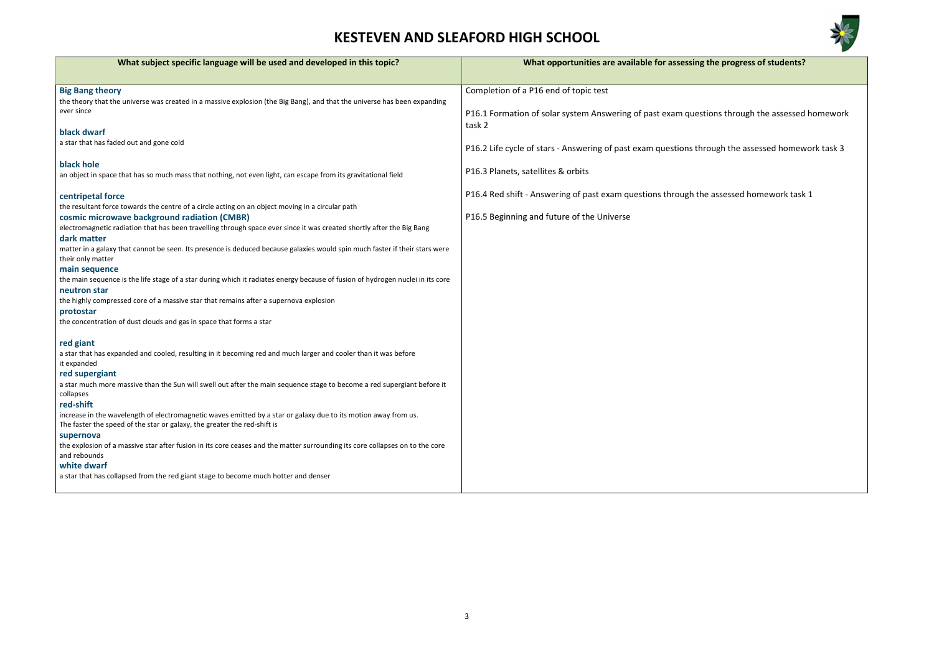

g the progress of students?

stions through the assessed homework

hrough the assessed homework task 3

 $n$ e assessed homework task 1

| What subject specific language will be used and developed in this topic?                                                                                                                    | What opportunities are available for assessing                  |
|---------------------------------------------------------------------------------------------------------------------------------------------------------------------------------------------|-----------------------------------------------------------------|
|                                                                                                                                                                                             |                                                                 |
| <b>Big Bang theory</b>                                                                                                                                                                      | Completion of a P16 end of topic test                           |
| the theory that the universe was created in a massive explosion (the Big Bang), and that the universe has been expanding                                                                    |                                                                 |
| ever since                                                                                                                                                                                  | P16.1 Formation of solar system Answering of past exam ques     |
|                                                                                                                                                                                             | task 2                                                          |
| black dwarf<br>a star that has faded out and gone cold                                                                                                                                      |                                                                 |
|                                                                                                                                                                                             | P16.2 Life cycle of stars - Answering of past exam questions th |
| black hole                                                                                                                                                                                  |                                                                 |
| an object in space that has so much mass that nothing, not even light, can escape from its gravitational field                                                                              | P16.3 Planets, satellites & orbits                              |
|                                                                                                                                                                                             |                                                                 |
| centripetal force                                                                                                                                                                           | P16.4 Red shift - Answering of past exam questions through th   |
| the resultant force towards the centre of a circle acting on an object moving in a circular path                                                                                            |                                                                 |
| cosmic microwave background radiation (CMBR)                                                                                                                                                | P16.5 Beginning and future of the Universe                      |
| electromagnetic radiation that has been travelling through space ever since it was created shortly after the Big Bang                                                                       |                                                                 |
| dark matter                                                                                                                                                                                 |                                                                 |
| matter in a galaxy that cannot be seen. Its presence is deduced because galaxies would spin much faster if their stars were<br>their only matter                                            |                                                                 |
| main sequence                                                                                                                                                                               |                                                                 |
| the main sequence is the life stage of a star during which it radiates energy because of fusion of hydrogen nuclei in its core                                                              |                                                                 |
| neutron star                                                                                                                                                                                |                                                                 |
| the highly compressed core of a massive star that remains after a supernova explosion                                                                                                       |                                                                 |
| protostar                                                                                                                                                                                   |                                                                 |
| the concentration of dust clouds and gas in space that forms a star                                                                                                                         |                                                                 |
| red giant                                                                                                                                                                                   |                                                                 |
| a star that has expanded and cooled, resulting in it becoming red and much larger and cooler than it was before                                                                             |                                                                 |
| it expanded                                                                                                                                                                                 |                                                                 |
| red supergiant                                                                                                                                                                              |                                                                 |
| a star much more massive than the Sun will swell out after the main sequence stage to become a red supergiant before it                                                                     |                                                                 |
| collapses                                                                                                                                                                                   |                                                                 |
| red-shift                                                                                                                                                                                   |                                                                 |
| increase in the wavelength of electromagnetic waves emitted by a star or galaxy due to its motion away from us.<br>The faster the speed of the star or galaxy, the greater the red-shift is |                                                                 |
| supernova                                                                                                                                                                                   |                                                                 |
| the explosion of a massive star after fusion in its core ceases and the matter surrounding its core collapses on to the core                                                                |                                                                 |
| and rebounds                                                                                                                                                                                |                                                                 |
| white dwarf                                                                                                                                                                                 |                                                                 |
| a star that has collapsed from the red giant stage to become much hotter and denser                                                                                                         |                                                                 |
|                                                                                                                                                                                             |                                                                 |